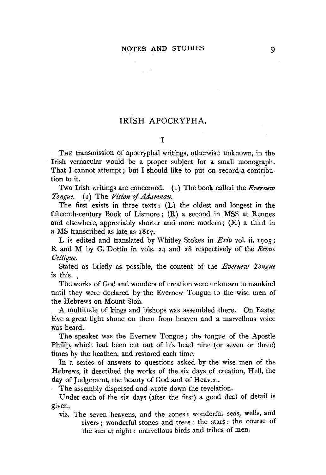$\alpha \in \mathbb{R}^n$ 

## IRISH APOCRYPHA.

## I

THE transmission of apocryphal writings, otherwise unknown, in the Irish vernacular would be a proper subject for a small monograph. That I cannot attempt; but I should like to put on record a contribution to it.

Two Irish writings are concerned. ( r) The book called the *Evernew Tongue.* ( 2) The *Vision* of *Adamnan.* 

The first exists in three texts: (L) the oldest and longest in the fifteenth-century Book of Lismore; (R) a second in MSS at Rennes and elsewhere, appreciably shorter and more modern ; (M) a third in a MS transcribed as late as  $1817$ .

L is edited and translated by Whitley Stokes in *En'u* vol. ii, 1905; R and M by G. Dottin in vols. 24 and 28 respectively of the *Revue Celtique.* 

Stated as briefly as possible, the content of the *Evernew Tongue*  is this.

The works of God and wonders of creation were unknown to mankind until they were declared by the Evernew Tongue to the wise men of the Hebrews on Mount Sion.

A multitude of kings and bishops was assembled there. On Easter Eve a great light shone on them from heaven and a marvellous voice was heard.

The speaker was the Evernew Tongue; the tongue of the Apostle Philip, which had been cut out of his head nine (or seven or three) times by the heathen, and restored each time.

In a series of answers to questions asked by the wise men of the Hebrews, it described the works of the six days of creation, Hell, the day of Judgement, the beauty of God and of Heaven.

The assembly dispersed and wrote down the revelation.

Under each of the six days (after the first) a good deal of detail is given,

viz. The seven heavens, and the zones: wonderful seas, wells, and rivers ; wonderful stones and trees : the stars : the course of the sun at night : marvellous birds and tribes of men.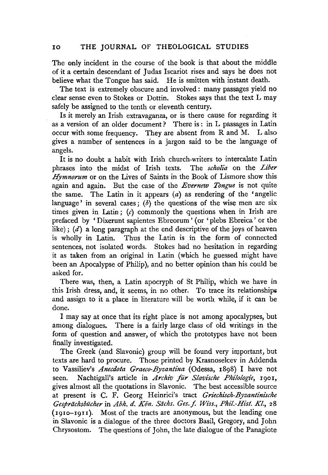The only incident in the course of the book is that about the middle of it a certain descendant of Judas Iscariot rises and says he does not believe what the Tongue has said. He is smitten with instant death.

The text is extremely obscure and involved: many passages yield no clear sense even to Stokes or Dottin. Stokes says that the text L may safely be assigned to the tenth or eleventh century.

Is it merely an Irish extravaganza, or is there cause for regarding it as a version of an older document? There is : in L passages in Latin occur with some frequency. They are absent from Rand M. L also gives a number of sentences in a jargon said to be the language of angels.

It is no doubt a habit with Irish church-writers to intercalate Latin phrases into the midst of Irish texts. The *scholia* on the *Liber Hymnorum* or on the Lives of Saints in the Book of Lismore show this again and again. But the case of the *Evernew Tongue* is not quite the same. The Latin in it appears  $(a)$  as rendering of the 'angelic language' in several cases;  $(b)$  the questions of the wise men are six times given in Latin; (c) commonly the questions when in Irish are prefaced by ' Dixerunt sapientes Ebreorum ' (or 'plebs Ebreica' or the like);  $(d)$  a long paragraph at the end descriptive of the joys of heaven is wholly in Latin. Thus the Latin is in the form of connected sentences, not isolated words. Stokes had no hesitation in regarding it as taken from an original in Latin (which he guessed might have been an Apocalypse of Philip), and no better opinion than his could be asked for.

There was, then, a Latin apocryph of St Philip, which we have in this Irish dress, and, it seems, in no other. To trace its relationships and assign to it a place in literature will be worth. while, if it can be done.

I may say at once that its right place is not among apocalypses, but among dialogues. There is a fairly large class of old writings in the form of question and answer, of which the prototypes have not been finally investigated.

The Greek (and Slavonic) group will be found very important, but texts are hard to procure. Those printed by Krasnoselcev in Addenda to Vassiliev's *Anecdota Graeco-Byzantina* (Odessa, r8g8) I have not seen. Nachtigall's article in *Archiv für Slavische Philologie*, 1901, gives almost all the quotations in Slavonic. The best accessible source at present is C. F. Georg Heinrici's tract *Griechisch-Byzantinische Gespriichsbiicher* in *Abh. d. Kiin. Siichs. Ges.j. Wiss., Phil.-Hist. Kl.,* 28 (rgro-rgu). Most of the tracts are anonymous, but the leading one in Slavonic is a dialogue of the three doctors Basil, Gregory, and John Chrysostom. The questions of John, the late dialogue of the Panagiote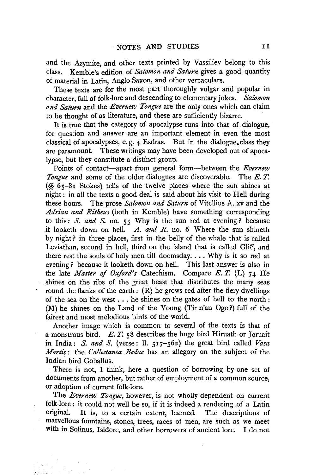and the Azymite, and other texts printed by Vassiliev belong to this class. Kemble's edition of *Salomon and Saturn* gives a good quantity of material in Latin, Anglo-Saxon, and other vernaculars.

These texts are for the most part thoroughly vulgar and popular in character, full of folk-lore and descending to elementary jokes. *Salomon and Saturn* and the *Evernew Tongue* are the only ones which can claim to be thought of as literature, and these are sufficiently bizarre.

It is true that the category of apocalypse runs into that of dialogue, for question and answer are an important element in even the most classical of apocalypses, e. g. 4 Esdras. But in the dialogue. class they are paramount. These writings may have been developed out of apocalypse, but they constitute a distinct group.

Points of contact-apart from general form-between the *Evernew Tongue* and some of the older dialogues are discoverable. The *E. T.*  (§§  $65-81$  Stokes) tells of the twelve places where the sun shines at night : in all the texts a good deal is said about his visit to Hell during these hours. The prose *Salomon and Saturn* of Vitellius A. xv and the *Adrian and Ritheus* (both in Kemble) have something corresponding to this: *S. and S.* no. 55 Why is the sun red at evening? because it looketh down on hell. *A. and R.* no. 6 Where the sun shineth by night? in three places, first in the belly of the whale that is called Leviathan, second in hell, third on the island that is called Glio, and there rest the souls of holy men till doomsday .... Why is it so red at evening ? because it looketh down on hell. This last answer is also in the late *Master* of *Oxford's* Catechism. Compare *E. T.* (L) 74 He shines on the ribs of the great beast that distributes the many seas round the flanks of the earth: (R) he grows red after the fiery dwellings of the sea on the west ... he shines on the gates of hell to the north : (M) he shines on the Land of the Young (Tir n'an Oge ?) full of the fairest and most melodious birds of the world.

Another image which is common to several of the texts is that of a monstrous bird. E. *T.* 58 describes the huge bird Hiruath or Joruait in India: *S. and S.* (verse: ll. 517-562) the great bird called *Vasa Mortis:* the *Collectanea Bedae* has an allegory on the subject of the Indian bird Goballus.

There is not, I think, here a question of borrowing by one set of documents from another, but rather of employment of a common source, or adoption of current folk-lore.

The *Evernew Tongue,* however, is not wholly dependent on current folk-lore : it could not well be so, if it is indeed a rendering of a Latin original. It is, to a certain extent, learned. The descriptions of marvellous fountains, stones, trees, races of men, are such as we meet with in Solinus, Isidore, and other borrowers of ancient lore. I do not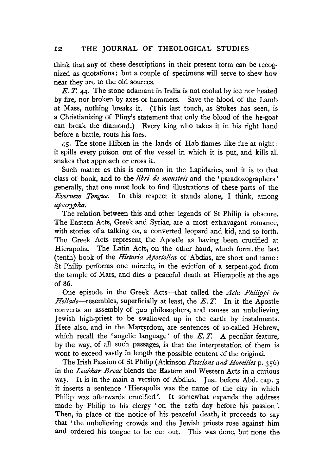think that any of these descriptions in their present form can be recognized as quotations; but a couple of specimens will serve to shew how near they are to the old sources.

E. *T.* 44· The stone adamant in India is not cooled by ice nor heated by fire, nor broken by axes or hammers. Save the blood of the Lamb at Mass, nothing breaks it. (This last touch, as Stokes has seen, is a Christianizing of Pliny's statement that only the blood of the he-goat can break the diamond.) Every king who takes it in his right hand before a battle, routs his foes.

 $45.$  The stone Hibien in the lands of Hab flames like fire at night: it spills every poison out of the vessel in which it is put, and kills all snakes that approach or cross it.

Such matter as this is common in the Lapidaries, and it is to that class of book, and to the *libri de monstris* and the 'paradoxographers ' generally, that one must look to find illustrations of these parts of the *Evernew Tongue.* In this respect it stands alone, I think, among *apocrypha.* 

The relation between this and other legends of St Philip is obscure. The Eastern Acts, Greek and Syriac, are a most extravagant romance, with stories of a talking ox, a converted leopard and kid, and so forth. The Greek Acts represent. the Apostle as having been crucified at Hierapolis. The Latin Acts, on the other hand, which form, the last (tenth) book of the *Historia Apostolica* of Abdias, are short and tame: St Philip performs one miracle, in the eviction of a serpent-god from the temple of Mars, and dies a peaceful death at Hierapolis at the age of 86.

One episode in the Greek Acts-that called the *Acta Philippi in Hellade-resembles,* superficially at least, the *E. T.* In it the Apostle converts an assembly of 300 philosophers, and causes an unbelieving Jewish high-priest to be swallowed up in the earth by instalments. Here also, and in the Martyrdom, are sentences of so-called Hebrew, which recall the 'angelic language' of the E. *T.* A peculiar feature, by the way, of all such passages, is that the interpretation of them is wont to exceed vastly in length the possible content of the original.

The Irish Passion of St Philip (Atkinson *Passions and Homilies* p. 356) in the *Leabhar Breac* blends the Eastern and Western Acts in a curious way. It is in the main a version of Abdias. Just before Abd. cap. 3 it inserts a sentence ' Hierapolis was the name of the city in which Philip was afterwards crucified'. It somewhat expands the address made by Philip to his clergy 'on the r2th day before his passion'. Then, in place of the notice of his peaceful death, it proceeds to say that 'the unbelieving crowds and the Jewish priests rose against him and ordered his tongue to be cut out. This was done, but none the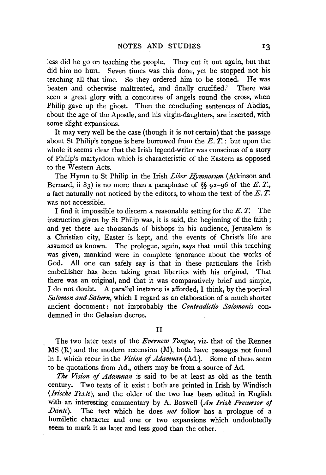less did he go on teaching the people. They cut it out again, but that did him no hurt. Seven times was this done, yet he stopped not his teaching all that time. So they ordered him to be stoned. He was beaten and otherwise maltreated, and finally crucified.' There was seen a great glory with a concourse of angels round the cross, when Philip gave up the ghost. Then the concluding sentences of Abdias, about the age of the Apostle, and his virgin-daughters, are inserted, with some slight expansions.

It may very well be the case (though it is not certain) that the passage about St Philip's tongue is here borrowed from the  $E, T$ : but upon the whole it seems clear that the Irish legend-writer was conscious of a story of Philip's martyrdom which is characteristic of the Eastern as opposed to the Western Acts.

The Hymn to St Philip in the Irish *Liber Hymnorum* (Atkinson and Bernard, ii 83) is no more than a paraphrase of  $\%$  92-96 of the E.T., a fact naturally not noticed by the editors, to whom the text of the *E.* T. was not accessible.

I find it impossible to discern a reasonable setting for the *E.* T. The instruction given by St Philip was, it is said, the beginning of the faith ; and yet there are thousands of bishops in his audience, Jerusalem is a Christian city, Easter is kept, and the events of Christ's life are assumed as known. The prologue, again, says that until this teaching was given, mankind were in complete ignorance about the works of God. All one can safely say is that in these particulars the Irish embellisher has been taking great liberties with his original. That there was an original, and that it was comparatively brief and simple, I do not doubt. A parallel instance is afforded, I think, by the poetical *Salomon and Saturn,* which I regard as an elaboration of a much shorter ancient document: not improbably the *Contradictio Salomonis* condemned in the Gelasian decree.

11

The two later texts of the *Evernew Tongue,* viz. that of the Rennes MS (R) and the modern recension (M), both have passages not found in L which recur in the *Vision of Adamnan* (Ad.). Some of these seem to be quotations from Ad., others may be from a source of Ad.

*The Vision* of *Adamnan* is said to be at least as old as the tenth century. Two texts of it exist : both are printed in Irish by Windisch *(Irische Texte),* and the older of the two has been edited in English with an interesting commentary by A. Boswell *(An Irish Precursor of Dante).* The text which he does *not* follow has a prologue of a homiletic character and one or two expansions which undoubtedly seem to mark it as later and less good than the other.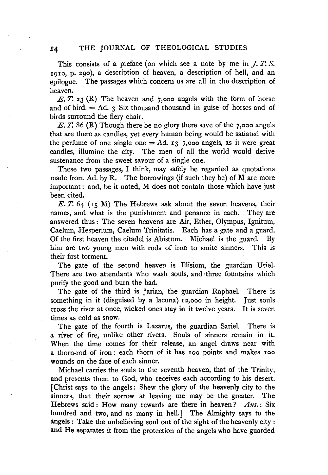This consists of a preface (on which see a note by me in J. *T. S.*  191o, p. 290), a description of heaven, a description of hell, and an epilogue. The passages which concern us are all in the description of heaven.

E. *T.* 23 (R) The heaven and 7,ooo angels with the form of horse and of bird.  $=$  Ad. 3 Six thousand thousand in guise of horses and of birds surround the fiery chair.

E. *T.* 86 (R) Though there be no glory there save of the 7,ooo angels that are there as candles, yet every human being would be satiated with the perfume of one single one  $= Ad. 13$  7,000 angels, as it were great candles, illumine the city. The men of all the world would derive sustenance from the sweet savour of a single one.

These two passages, I think, may safely be regarded as quotations made from Ad. by R. The borrowings (if such they be) of M are more important: and, be it noted, M does not contain those which have just been cited.

 $E. T. 64$  ( $15$  M) The Hebrews ask about the seven heavens, their names, and what is the punishment and penance in each. They are answered thus : The seven heavens are Air, Ether, Olympus, Ignitum, Caelum, Hesperium, Caelum Trinitatis. Each has a gate and a guard. Of the first heaven the citadel is Abistum. Michael is the guard. By him are two young men with rods of iron to smite sinners. This is their first torment.

The gate of the second heaven is Illisiom, the guardian Uriel. There are two attendants who wash souls, and three fountains which purify the good and burn the bad.

The gate of the third is Jarian, the guardian Raphael. There is something in it (disguised by a lacuna) 12,ooo in height. Just souls cross the river at once, wicked ones stay in it twelve years. It is seven times as cold as snow.

The gate of the fourth is Lazarus, the guardian Sariel. There is a river of fire, unlike other rivers. Souls of sinners remain in it. When the time comes for their release, an angel draws near with a thorn-rod of iron: each thorn of it has Ioo points and makes 100 wounds on the face of each sinner.

Michael carries the souls to the seventh heaven, that of the Trinity, and presents them to God, who receives each according to his desert. [Christ says to the angels: Shew the glory of the heavenly city to the sinners, that their sorrow at leaving me may be the greater. The Hebrews said : How many rewards are there in heaven? *Ans.* : Six hundred and two, and as many in hell.] The Almighty says to the angels: Take the unbelieving soul out of the sight of the heavenly city: and He separates it from the protection of the angels who have guarded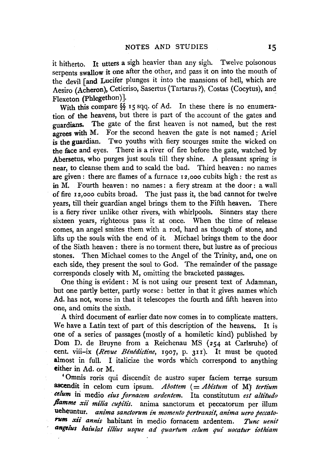it hitherto. It utters a sigh heavier than any sigh. Twelve poisonous serpents swallow it one after the other, and pass it on into the mouth of the devil [and Lucifer plunges it into the mansions of hell, which are Aesiro (Acheron), Ceticriso, Sasertus (Tartarus ?), Costas (Cocytus), and Flexeton (Phlegethon) ].

With this compare §§ 15 sqq. of Ad. In these there is no enumeration of the heavens, but there is part of the account of the gates and guardians. The gate of the first heaven is not named, but the rest agrees with M. For the second heaven the gate is not named: Ariel is the guardian. Two youths with fiery scourges smite the wicked on the face and eyes. There is a river of fire before the gate, watched by Abersetus, who purges just souls till they shine. A pleasant spring is near, to cleanse them and to scald the bad. Third heaven : no names are given: there are flames of a furnace I2,ooo cubits high: the rest as in M. Fourth heaven: no names: a fiery stream at the door: a wall of fire I 2,ooo cubits broad. The just pass it, the bad cannot for twelve years, till their guardian angel brings them to the Fifth heaven. There is a fiery river unlike other rivers, with whirlpools. Sinners stay there sixteen years, righteous pass it at once. When the time of release comes, an angel smites them with a rod, hard as though of stone, and lifts up the souls with the end of it. Michael brings them to the door of the Sixth heaven : there is no torment there, but lustre as of precious stones. Then Michael comes to the Angel of the Trinity, and, one on each side, they present the soul to God. The remainder of the passage corresponds closely with M, omitting the bracketed passages.

One thing is evident : M is not using our present text of Adamnan, but one partly better, partly worse : better in that it gives names which Ad. has not, worse in that it telescopes the fourth and fifth heaven into one, and omits the sixth.

A third document of earlier date now comes in to complicate matters. We have a Latin text of part of this description of the heavens. It is one of a series of passages (mostly of a homiletic kind) published by Dom D. de Bruyne from a Reichenau MS (254 at Carlsruhe} of cent. viii-ix *(Revue Bénédictine*, 1907, p. 311). It must be quoted almost in full. I italicize the words which correspond to anything either in Ad. or M.

'Omnis roris qui discendit de austro super faciem terrae sursum ascendit in celom cum ipsum. Abottem (= Abistum of M) tertium *eelum* iri medio *eius fornacem ardentem.* Ita constitutum *est altitudo*  flamme xii milia cupitis. anima sanctorum et peccatorum per illum ueheuntur. *anima sanetorum in momento pertransit, anima uero peccatorum xii annis* habitant in medio fornacem ardentem. *Tunc uenit angrlus bai'ulat illi'us usque ad quartum celum qui uocatur iothi'am*